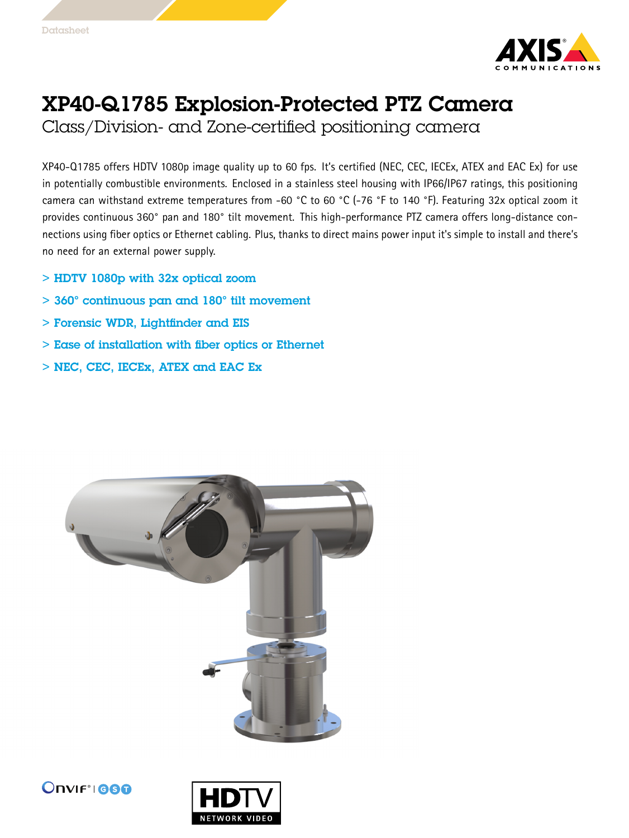

## XP40-Q1785 Explosion-Protected PTZ Camera

Class/Division- and Zone-certified positioning camera

XP40-Q1785 offers HDTV 1080p image quality up to <sup>60</sup> fps. It's certified (NEC, CEC, IECEx, ATEX and EAC Ex) for use in potentially combustible environments. Enclosed in <sup>a</sup> stainless steel housing with IP66/IP67 ratings, this positioning camera can withstand extreme temperatures from -60 °C to <sup>60</sup> °C (-76 °F to <sup>140</sup> °F). Featuring 32x optical zoom it provides continuous 360° pan and 180° tilt movement. This high-performance PTZ camera offers long-distance connections using fiber optics or Ethernet cabling. Plus, thanks to direct mains power input it's simple to install and there's no need for an external power supply.

- > HDTV 1080p with 32x optical zoom
- > 360° continuous pan and 180° tilt movement
- > Forensic WDR, Lightfinder and EIS
- > Ease of installation with fiber optics or Ethernet
- > NEC, CEC, IECEx, ATEX and EAC Ex





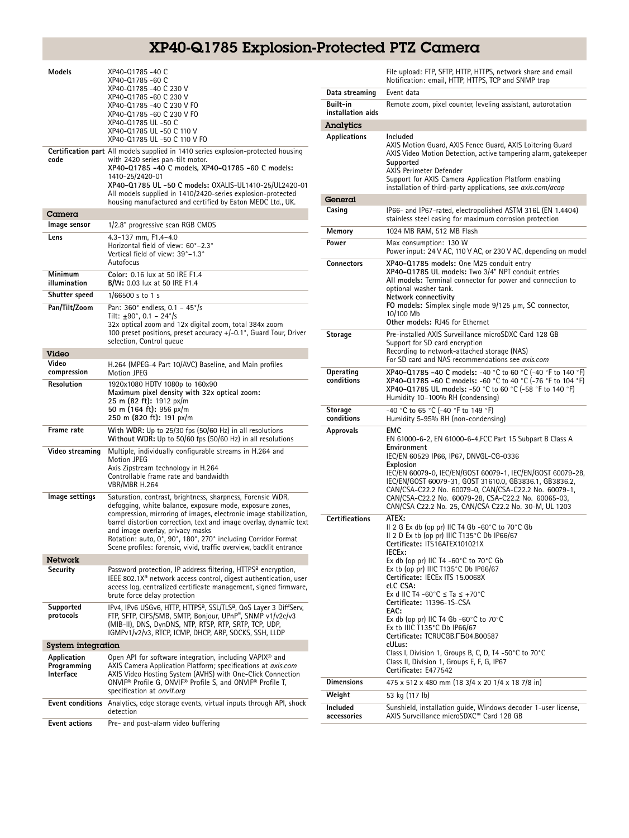## XP40-Q1785 Explosion-Protected PTZ Camera

| Models                                         | XP40-Q1785-40 C<br>XP40-Q1785-60 C<br>XP40-Q1785 -40 C 230 V<br>XP40-Q1785 -60 C 230 V<br>XP40-Q1785 -40 C 230 V FO<br>XP40-Q1785 -60 C 230 V FO<br>XP40-Q1785 UL -50 C<br>XP40-Q1785 UL-50 C 110 V<br>XP40-Q1785 UL -50 C 110 V FO                                                                                                                                                                                                           |
|------------------------------------------------|-----------------------------------------------------------------------------------------------------------------------------------------------------------------------------------------------------------------------------------------------------------------------------------------------------------------------------------------------------------------------------------------------------------------------------------------------|
| code                                           | Certification part All models supplied in 1410 series explosion-protected housing<br>with 2420 series pan-tilt motor.<br>XP40-Q1785 -40 C models, XP40-Q1785 -60 C models:<br>1410-25/2420-01<br>XP40-Q1785 UL -50 C models: 0XALIS-UL1410-25/UL2420-01<br>All models supplied in 1410/2420-series explosion-protected<br>housing manufactured and certified by Eaton MEDC Ltd., UK.                                                          |
| Camera                                         |                                                                                                                                                                                                                                                                                                                                                                                                                                               |
| Image sensor                                   | 1/2.8" progressive scan RGB CMOS                                                                                                                                                                                                                                                                                                                                                                                                              |
| Lens                                           | 4.3-137 mm, F1.4-4.0<br>Horizontal field of view: 60°-2.3°<br>Vertical field of view: 39°–1.3°<br>Autofocus                                                                                                                                                                                                                                                                                                                                   |
| Minimum<br>illumination                        | Color: 0.16 lux at 50 IRE F1.4<br>B/W: 0.03 lux at 50 IRE F1.4                                                                                                                                                                                                                                                                                                                                                                                |
| Shutter speed                                  | 1/66500 s to 1 s                                                                                                                                                                                                                                                                                                                                                                                                                              |
| Pan/Tilt/Zoom                                  | Pan: $360^{\circ}$ endless, 0.1 - $45^{\circ}/s$<br>Tilt: $\pm 90^\circ$ , 0.1 - 24 $\degree$ /s<br>32x optical zoom and 12x digital zoom, total 384x zoom<br>100 preset positions, preset accuracy +/-0.1°, Guard Tour, Driver<br>selection, Control queue                                                                                                                                                                                   |
| Video                                          |                                                                                                                                                                                                                                                                                                                                                                                                                                               |
| Video<br>compression                           | H.264 (MPEG-4 Part 10/AVC) Baseline, and Main profiles<br>Motion JPEG                                                                                                                                                                                                                                                                                                                                                                         |
| <b>Resolution</b>                              | 1920x1080 HDTV 1080p to 160x90<br>Maximum pixel density with 32x optical zoom:<br>25 m (82 ft): 1912 px/m<br>50 m (164 ft): 956 px/m<br>250 m (820 ft): 191 px/m                                                                                                                                                                                                                                                                              |
| Frame rate                                     | With WDR: Up to 25/30 fps (50/60 Hz) in all resolutions<br>Without WDR: Up to 50/60 fps (50/60 Hz) in all resolutions                                                                                                                                                                                                                                                                                                                         |
| Video streaming                                | Multiple, individually configurable streams in H.264 and<br>Motion JPEG<br>Axis Zipstream technology in H.264<br>Controllable frame rate and bandwidth<br>VBR/MBR H.264                                                                                                                                                                                                                                                                       |
| Image settings                                 | Saturation, contrast, brightness, sharpness, Forensic WDR,<br>defogging, white balance, exposure mode, exposure zones,<br>compression, mirroring of images, electronic image stabilization,<br>barrel distortion correction, text and image overlay, dynamic text<br>and image overlay, privacy masks<br>Rotation: auto, 0°, 90°, 180°, 270° including Corridor Format<br>Scene profiles: forensic, vivid, traffic overview, backlit entrance |
| <b>Network</b>                                 |                                                                                                                                                                                                                                                                                                                                                                                                                                               |
| Security                                       | Password protection, IP address filtering, HTTPS <sup>a</sup> encryption,<br>IEEE 802.1X <sup>a</sup> network access control, digest authentication, user<br>access log, centralized certificate management, signed firmware,<br>brute force delay protection                                                                                                                                                                                 |
| Supported<br>protocols                         | IPv4, IPv6 USGv6, HTTP, HTTPSª, SSL/TLSª, QoS Layer 3 DiffServ,<br>FTP, SFTP, CIFS/SMB, SMTP, Bonjour, UPnP®, SNMP v1/v2c/v3<br>(MIB-II), DNS, DynDNS, NTP, RTSP, RTP, SRTP, TCP, UDP,<br>IGMPv1/v2/v3. RTCP. ICMP. DHCP. ARP. SOCKS. SSH. LLDP                                                                                                                                                                                               |
| System integration                             |                                                                                                                                                                                                                                                                                                                                                                                                                                               |
| Application<br>Programming<br><b>Interface</b> | Open API for software integration, including VAPIX <sup>®</sup> and<br>AXIS Camera Application Platform; specifications at axis.com<br>AXIS Video Hosting System (AVHS) with One-Click Connection<br>ONVIF <sup>®</sup> Profile G, ONVIF® Profile S, and ONVIF® Profile T,<br>specification at onvif.org                                                                                                                                      |
|                                                | <b>Event conditions</b> Analytics, edge storage events, virtual inputs through API, shock<br>detection                                                                                                                                                                                                                                                                                                                                        |
| Event actions                                  | Pre- and post-alarm video buffering                                                                                                                                                                                                                                                                                                                                                                                                           |

|                               | File upload: FTP, SFTP, HTTP, HTTPS, network share and email<br>Notification: email, HTTP, HTTPS, TCP and SNMP trap                                                                                                                                                                                                                                                                                                                                                                                                                                                                                                                                       |
|-------------------------------|-----------------------------------------------------------------------------------------------------------------------------------------------------------------------------------------------------------------------------------------------------------------------------------------------------------------------------------------------------------------------------------------------------------------------------------------------------------------------------------------------------------------------------------------------------------------------------------------------------------------------------------------------------------|
| Data streaming                | Event data                                                                                                                                                                                                                                                                                                                                                                                                                                                                                                                                                                                                                                                |
| Built-in<br>installation aids | Remote zoom, pixel counter, leveling assistant, autorotation                                                                                                                                                                                                                                                                                                                                                                                                                                                                                                                                                                                              |
| Analytics                     |                                                                                                                                                                                                                                                                                                                                                                                                                                                                                                                                                                                                                                                           |
| Applications                  | Included<br>AXIS Motion Guard, AXIS Fence Guard, AXIS Loitering Guard<br>AXIS Video Motion Detection, active tampering alarm, gatekeeper<br>Supported<br><b>AXIS Perimeter Defender</b><br>Support for AXIS Camera Application Platform enabling<br>installation of third-party applications, see <i>axis.com/acap</i>                                                                                                                                                                                                                                                                                                                                    |
| General                       |                                                                                                                                                                                                                                                                                                                                                                                                                                                                                                                                                                                                                                                           |
| Casing                        | IP66- and IP67-rated, electropolished ASTM 316L (EN 1.4404)<br>stainless steel casing for maximum corrosion protection                                                                                                                                                                                                                                                                                                                                                                                                                                                                                                                                    |
| Memory                        | 1024 MB RAM, 512 MB Flash                                                                                                                                                                                                                                                                                                                                                                                                                                                                                                                                                                                                                                 |
| Power                         | Max consumption: 130 W<br>Power input: 24 V AC, 110 V AC, or 230 V AC, depending on model                                                                                                                                                                                                                                                                                                                                                                                                                                                                                                                                                                 |
| <b>Connectors</b>             | XP40-Q1785 models: One M25 conduit entry<br>XP40-Q1785 UL models: Two 3/4" NPT conduit entries<br>All models: Terminal connector for power and connection to<br>optional washer tank.<br>Network connectivity<br>FO models: Simplex single mode $9/125 \mu$ m, SC connector,<br>10/100 Mb<br>Other models: RJ45 for Ethernet                                                                                                                                                                                                                                                                                                                              |
| Storage                       | Pre-installed AXIS Surveillance microSDXC Card 128 GB<br>Support for SD card encryption<br>Recording to network-attached storage (NAS)                                                                                                                                                                                                                                                                                                                                                                                                                                                                                                                    |
|                               | For SD card and NAS recommendations see axis.com                                                                                                                                                                                                                                                                                                                                                                                                                                                                                                                                                                                                          |
| Operating<br>conditions       | XP40-Q1785 -40 C models: -40 °C to 60 °C (-40 °F to 140 °F)<br>XP40-Q1785 -60 C models: -60 °C to 40 °C (-76 °F to 104 °F)<br>XP40-Q1785 UL models: -50 °C to 60 °C (-58 °F to 140 °F)<br>Humidity 10-100% RH (condensing)                                                                                                                                                                                                                                                                                                                                                                                                                                |
| Storage<br>conditions         | -40 °C to 65 °C (-40 °F to 149 °F)<br>Humidity 5-95% RH (non-condensing)                                                                                                                                                                                                                                                                                                                                                                                                                                                                                                                                                                                  |
| <b>Approvals</b>              | EMC<br>EN 61000-6-2, EN 61000-6-4, FCC Part 15 Subpart B Class A<br>Environment<br>IEC/EN 60529 IP66, IP67, DNVGL-CG-0336<br>Explosion<br>IEC/EN 60079-0, IEC/EN/GOST 60079-1, IEC/EN/GOST 60079-28,<br>IEC/EN/GOST 60079-31, GOST 31610.0, GB3836.1, GB3836.2,<br>CAN/CSA-C22.2 No. 60079-0, CAN/CSA-C22.2 No. 60079-1,<br>CAN/CSA-C22.2 No. 60079-28, CSA-C22.2 No. 60065-03,<br>CAN/CSA C22.2 No. 25, CAN/CSA C22.2 No. 30-M, UL 1203                                                                                                                                                                                                                  |
| <b>Certifications</b>         | ATFX:<br>II 2 G Ex db (op pr) IIC T4 Gb -60°C to 70°C Gb<br>II 2 D Ex tb (op pr) IIIC T135°C Db IP66/67<br>Certificate: ITS16ATEX101021X<br>IECEx:<br>Ex db (op pr) IIC T4 -60°C to 70°C Gb<br>Ex tb (op pr) IIIC T135 $^{\circ}$ C Db IP66/67<br>Certificate: IECEx ITS 15.0068X<br>cLC CSA:<br>Ex d IIC T4 -60°C $\le$ Ta $\le$ +70°C<br>Certificate: 11396-1S-CSA<br>FAC:<br>Ex db (op pr) IIC T4 Gb $-60^{\circ}$ C to 70 $^{\circ}$ C<br>Ex tb IIIC T135°C Db IP66/67<br>Certificate: TCRUCGB. L504. B00587<br>cULus:<br>Class I, Division 1, Groups B, C, D, T4 -50°C to 70°C<br>Class II, Division 1, Groups E, F, G, IP67<br>Certificate: E477542 |
| <b>Dimensions</b>             | 475 x 512 x 480 mm (18 3/4 x 20 1/4 x 18 7/8 in)                                                                                                                                                                                                                                                                                                                                                                                                                                                                                                                                                                                                          |
| Weight                        | 53 kg (117 lb)                                                                                                                                                                                                                                                                                                                                                                                                                                                                                                                                                                                                                                            |
| Included                      |                                                                                                                                                                                                                                                                                                                                                                                                                                                                                                                                                                                                                                                           |